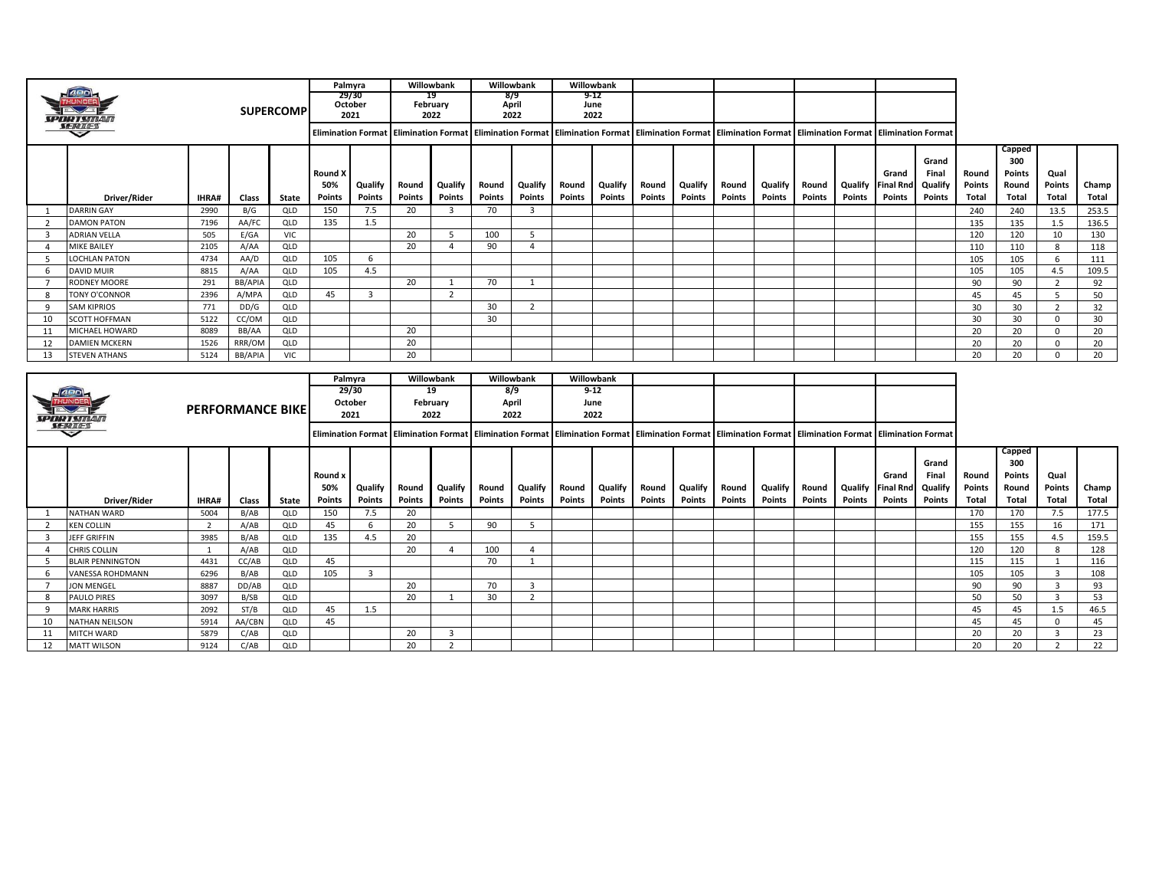|                |                         |                |                         |                  |                | Palmyra                 |        | Willowbank       |        | Willowbank              |               | Willowbank    |               |         |        |                                                                                                                                                                                                                 |               |               |                  |               |        |        |                |       |
|----------------|-------------------------|----------------|-------------------------|------------------|----------------|-------------------------|--------|------------------|--------|-------------------------|---------------|---------------|---------------|---------|--------|-----------------------------------------------------------------------------------------------------------------------------------------------------------------------------------------------------------------|---------------|---------------|------------------|---------------|--------|--------|----------------|-------|
|                |                         |                |                         |                  |                | 29/30                   |        | 19               |        | 8/9                     |               | 9-12          |               |         |        |                                                                                                                                                                                                                 |               |               |                  |               |        |        |                |       |
|                |                         |                |                         | <b>SUPERCOMP</b> |                | October<br>2021         |        | February<br>2022 |        | April<br>2022           |               | June<br>2022  |               |         |        |                                                                                                                                                                                                                 |               |               |                  |               |        |        |                |       |
|                |                         |                |                         |                  |                |                         |        |                  |        |                         |               |               |               |         |        |                                                                                                                                                                                                                 |               |               |                  |               |        |        |                |       |
|                |                         |                |                         |                  |                |                         |        |                  |        |                         |               |               |               |         |        | Elimination Format   Elimination Format   Elimination Format   Elimination Format   Elimination Format   Elimination Format   Elimination Format   Elimination Format   Elimination Format                      |               |               |                  |               |        |        |                |       |
|                |                         |                |                         |                  |                |                         |        |                  |        |                         |               |               |               |         |        |                                                                                                                                                                                                                 |               |               |                  |               |        | Capped |                |       |
|                |                         |                |                         |                  |                |                         |        |                  |        |                         |               |               |               |         |        |                                                                                                                                                                                                                 |               |               |                  | Grand         |        | 300    |                |       |
|                |                         |                |                         |                  | <b>Round X</b> |                         |        |                  |        |                         |               |               |               |         |        |                                                                                                                                                                                                                 |               |               | Grand            | Final         | Round  | Points | Qual           |       |
|                |                         |                |                         |                  | 50%            | Qualify                 | Round  | Qualify          | Round  | Qualify                 | Round         | Qualify       | Round         | Qualify | Round  | Qualify                                                                                                                                                                                                         | Round         | Qualify       | <b>Final Rnd</b> | Qualify       | Points | Round  | Points         | Champ |
|                | Driver/Rider            | IHRA#          | Class                   | State            | Points         | Points                  | Points | Points           | Points | Points                  | <b>Points</b> | <b>Points</b> | <b>Points</b> | Points  | Points | Points                                                                                                                                                                                                          | <b>Points</b> | Points        | <b>Points</b>    | <b>Points</b> | Total  | Total  | Total          | Total |
| 1              | <b>DARRIN GAY</b>       | 2990           | B/G                     | <b>QLD</b>       | 150            | 7.5                     | 20     | $\overline{3}$   | 70     | $\overline{3}$          |               |               |               |         |        |                                                                                                                                                                                                                 |               |               |                  |               | 240    | 240    | 13.5           | 253.5 |
| $\overline{2}$ | <b>DAMON PATON</b>      | 7196           | AA/FC                   | QLD              | 135            | 1.5                     |        |                  |        |                         |               |               |               |         |        |                                                                                                                                                                                                                 |               |               |                  |               | 135    | 135    | 1.5            | 136.5 |
| 3              | <b>ADRIAN VELLA</b>     | 505            | E/GA                    | VIC              |                |                         | 20     | -5               | 100    | -5                      |               |               |               |         |        |                                                                                                                                                                                                                 |               |               |                  |               | 120    | 120    | 10             | 130   |
| 4              | <b>MIKE BAILEY</b>      | 2105           | A/AA                    | QLD              |                |                         | 20     | $\overline{a}$   | 90     | $\overline{4}$          |               |               |               |         |        |                                                                                                                                                                                                                 |               |               |                  |               | 110    | 110    | 8              | 118   |
| - 5            | LOCHLAN PATON           | 4734           | AA/D                    | QLD              | 105            | - 6                     |        |                  |        |                         |               |               |               |         |        |                                                                                                                                                                                                                 |               |               |                  |               | 105    | 105    | 6              | 111   |
| -6             | <b>DAVID MUIR</b>       | 8815           | A/AA                    | QLD              | 105            | 4.5                     |        |                  |        |                         |               |               |               |         |        |                                                                                                                                                                                                                 |               |               |                  |               | 105    | 105    | 4.5            | 109.5 |
| - 7            | RODNEY MOORE            | 291            | <b>BB/APIA</b>          | QLD              |                |                         | 20     | 1                | 70     | $\mathbf{1}$            |               |               |               |         |        |                                                                                                                                                                                                                 |               |               |                  |               | 90     | 90     | $\overline{2}$ | 92    |
| 8              | TONY O'CONNOR           | 2396           | A/MPA                   | QLD              | 45             | $\overline{\mathbf{3}}$ |        | $\overline{2}$   |        |                         |               |               |               |         |        |                                                                                                                                                                                                                 |               |               |                  |               | 45     | 45     | 5              | 50    |
| -9             | <b>SAM KIPRIOS</b>      | 771            | DD/G                    | QLD              |                |                         |        |                  | 30     | 2                       |               |               |               |         |        |                                                                                                                                                                                                                 |               |               |                  |               | 30     | 30     | $\overline{2}$ | 32    |
| 10             | <b>SCOTT HOFFMAN</b>    | 5122           | CC/OM                   | QLD              |                |                         |        |                  | 30     |                         |               |               |               |         |        |                                                                                                                                                                                                                 |               |               |                  |               | 30     | 30     | $\Omega$       | 30    |
| 11             | MICHAEL HOWARD          | 8089           | BB/AA                   | QLD              |                |                         | 20     |                  |        |                         |               |               |               |         |        |                                                                                                                                                                                                                 |               |               |                  |               | 20     | 20     | $\mathbf 0$    | 20    |
| 12             | <b>DAMIEN MCKERN</b>    | 1526           | RRR/OM                  | QLD              |                |                         | 20     |                  |        |                         |               |               |               |         |        |                                                                                                                                                                                                                 |               |               |                  |               | 20     | 20     | $\Omega$       | 20    |
| 13             | <b>STEVEN ATHANS</b>    | 5124           | <b>BB/APIA</b>          | VIC              |                |                         | 20     |                  |        |                         |               |               |               |         |        |                                                                                                                                                                                                                 |               |               |                  |               | 20     | 20     | $\Omega$       | 20    |
|                |                         |                |                         |                  |                |                         |        |                  |        |                         |               |               |               |         |        |                                                                                                                                                                                                                 |               |               |                  |               |        |        |                |       |
|                |                         |                |                         |                  |                |                         |        |                  |        |                         |               |               |               |         |        |                                                                                                                                                                                                                 |               |               |                  |               |        |        |                |       |
|                |                         |                |                         |                  |                | Palmyra                 |        | Willowbank       |        | Willowbank              |               | Willowbank    |               |         |        |                                                                                                                                                                                                                 |               |               |                  |               |        |        |                |       |
|                |                         |                |                         |                  |                | 29/30                   |        | 19               |        | 8/9                     |               | $9 - 12$      |               |         |        |                                                                                                                                                                                                                 |               |               |                  |               |        |        |                |       |
|                |                         |                | <b>PERFORMANCE BIKE</b> |                  |                | October                 |        | February         |        | April<br>2022           |               | June          |               |         |        |                                                                                                                                                                                                                 |               |               |                  |               |        |        |                |       |
|                | <b>SA-NRITA-V</b>       |                |                         |                  |                | 2021                    |        | 2022             |        |                         |               | 2022          |               |         |        |                                                                                                                                                                                                                 |               |               |                  |               |        |        |                |       |
|                |                         |                |                         |                  |                |                         |        |                  |        |                         |               |               |               |         |        | Elimination Format   Elimination Format   Elimination Format   Elimination Format   Elimination Format   Elimination Format   Elimination Format   Elimination Format   Elimination Format   Elimination Format |               |               |                  |               |        |        |                |       |
|                |                         |                |                         |                  |                |                         |        |                  |        |                         |               |               |               |         |        |                                                                                                                                                                                                                 |               |               |                  |               |        | Capped |                |       |
|                |                         |                |                         |                  |                |                         |        |                  |        |                         |               |               |               |         |        |                                                                                                                                                                                                                 |               |               |                  | Grand         |        | 300    |                |       |
|                |                         |                |                         |                  | Round x        |                         |        |                  |        |                         |               |               |               |         |        |                                                                                                                                                                                                                 |               |               | Grand            | Final         | Round  | Points | Qual           |       |
|                |                         |                |                         |                  | 50%            | Qualify                 | Round  | Qualify          | Round  | Qualify                 | Round         | Qualify       | Round         | Qualify | Round  | Qualify                                                                                                                                                                                                         | Round         | Qualify       | <b>Final Rnd</b> | Qualify       | Points | Round  | Points         | Champ |
|                | Driver/Rider            | <b>IHRA#</b>   | Class                   | State            | Points         | Points                  | Points | <b>Points</b>    | Points | Points                  | Points        | Points        | <b>Points</b> | Points  | Points | Points                                                                                                                                                                                                          | <b>Points</b> | <b>Points</b> | Points           | Points        | Total  | Total  | Total          | Total |
| 1              | NATHAN WARD             | 5004           | B/AB                    | QLD              | 150            | 7.5                     | 20     |                  |        |                         |               |               |               |         |        |                                                                                                                                                                                                                 |               |               |                  |               | 170    | 170    | 7.5            | 177.5 |
| 2              | <b>KEN COLLIN</b>       | $\overline{2}$ | A/AB                    | QLD              | 45             | 6                       | 20     | 5                | 90     | 5                       |               |               |               |         |        |                                                                                                                                                                                                                 |               |               |                  |               | 155    | 155    | 16             | 171   |
| $\overline{3}$ | JEFF GRIFFIN            | 3985           | B/AB                    | QLD              | 135            | 4.5                     | 20     |                  |        |                         |               |               |               |         |        |                                                                                                                                                                                                                 |               |               |                  |               | 155    | 155    | 4.5            | 159.5 |
| $\overline{4}$ | <b>CHRIS COLLIN</b>     | $\overline{1}$ | A/AB                    | QLD              |                |                         | 20     | $\overline{4}$   | 100    | $\overline{4}$          |               |               |               |         |        |                                                                                                                                                                                                                 |               |               |                  |               | 120    | 120    | 8              | 128   |
| -5             | <b>BLAIR PENNINGTON</b> | 4431           | CC/AB                   | QLD              | 45             |                         |        |                  | 70     | 1                       |               |               |               |         |        |                                                                                                                                                                                                                 |               |               |                  |               | 115    | 115    | 1              | 116   |
| -6             | VANESSA ROHDMANN        | 6296           | B/AB                    | QLD              | 105            | $\overline{\mathbf{3}}$ |        |                  |        |                         |               |               |               |         |        |                                                                                                                                                                                                                 |               |               |                  |               | 105    | 105    | $\overline{3}$ | 108   |
| 7              | <b>JON MENGEL</b>       | 8887           | DD/AB                   | QLD              |                |                         | 20     |                  | 70     | $\overline{\mathbf{3}}$ |               |               |               |         |        |                                                                                                                                                                                                                 |               |               |                  |               | 90     | 90     | $\overline{3}$ | 93    |
| 8              | PAULO PIRES             | 3097           | B/SB                    | QLD              |                |                         | 20     | $\mathbf{1}$     | 30     | $\overline{2}$          |               |               |               |         |        |                                                                                                                                                                                                                 |               |               |                  |               | 50     | 50     | $\overline{3}$ | 53    |
| 9              | <b>MARK HARRIS</b>      | 2092           | ST/B                    | QLD              | 45             | 1.5                     |        |                  |        |                         |               |               |               |         |        |                                                                                                                                                                                                                 |               |               |                  |               | 45     | 45     | 1.5            | 46.5  |
| 10             | NATHAN NEILSON          | 5914           | AA/CBN                  | QLD              | 45             |                         |        |                  |        |                         |               |               |               |         |        |                                                                                                                                                                                                                 |               |               |                  |               | 45     | 45     | $\Omega$       | 45    |
| 11             | <b>MITCH WARD</b>       | 5879           | C/AB                    | QLD              |                |                         | 20     | $\overline{3}$   |        |                         |               |               |               |         |        |                                                                                                                                                                                                                 |               |               |                  |               | 20     | 20     | 3              | 23    |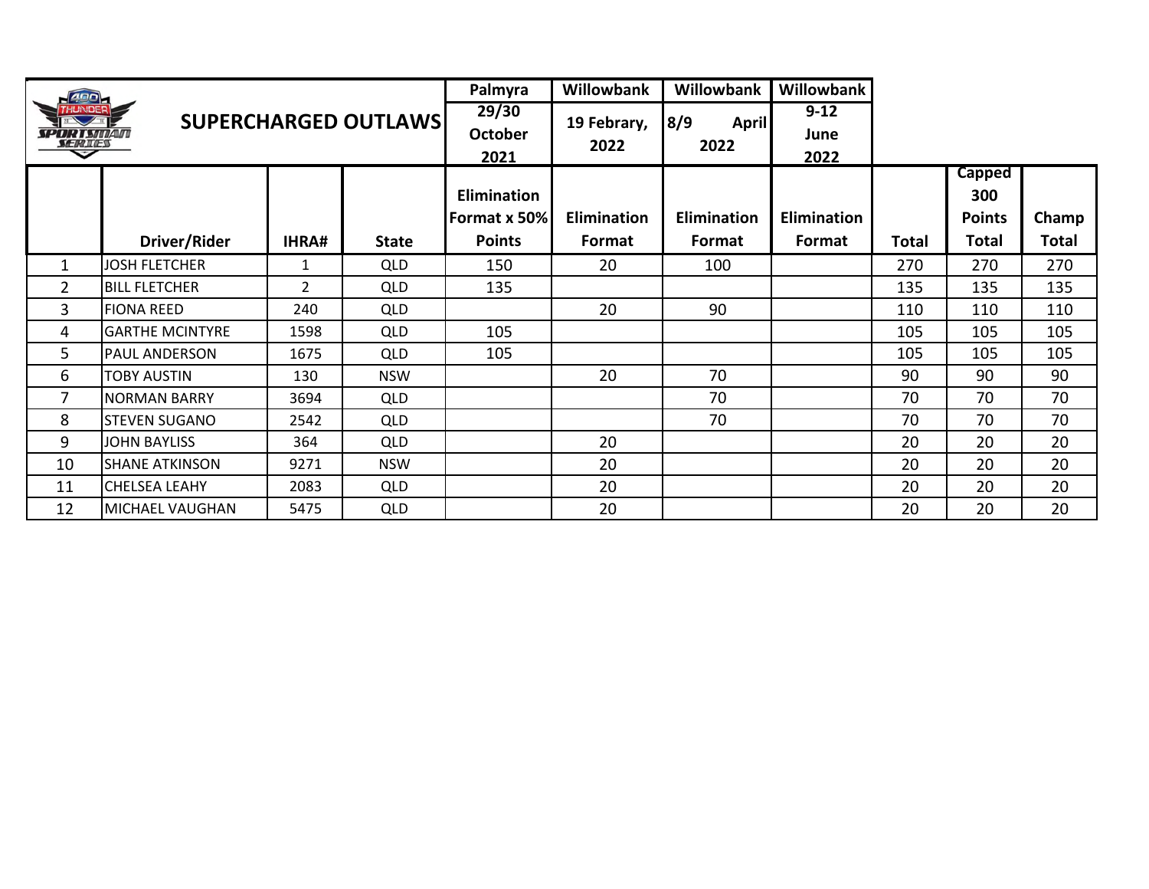| 400                               |                        |              |                             | Palmyra                            | <b>Willowbank</b>   | <b>Willowbank</b>           | <b>Willowbank</b>        |       |                                       |              |
|-----------------------------------|------------------------|--------------|-----------------------------|------------------------------------|---------------------|-----------------------------|--------------------------|-------|---------------------------------------|--------------|
| <i>SPORTSMAN</i><br><b>SERIES</b> |                        |              | <b>SUPERCHARGED OUTLAWS</b> | 29/30<br><b>October</b><br>2021    | 19 Febrary,<br>2022 | 8/9<br><b>April</b><br>2022 | $9 - 12$<br>June<br>2022 |       |                                       |              |
|                                   |                        |              |                             | <b>Elimination</b><br>Format x 50% | <b>Elimination</b>  | <b>Elimination</b>          | <b>Elimination</b>       |       | <b>Capped</b><br>300<br><b>Points</b> | Champ        |
|                                   | Driver/Rider           | <b>IHRA#</b> | <b>State</b>                | <b>Points</b>                      | Format              | Format                      | Format                   | Total | Total                                 | <b>Total</b> |
| $\mathbf{1}$                      | <b>JOSH FLETCHER</b>   | 1            | <b>QLD</b>                  | 150                                | 20                  | 100                         |                          | 270   | 270                                   | 270          |
| $\overline{2}$                    | <b>BILL FLETCHER</b>   | 2            | <b>QLD</b>                  | 135                                |                     |                             |                          | 135   | 135                                   | 135          |
| $\mathbf{3}$                      | <b>FIONA REED</b>      | 240          | <b>QLD</b>                  |                                    | 20                  | 90                          |                          | 110   | 110                                   | 110          |
| 4                                 | <b>GARTHE MCINTYRE</b> | 1598         | <b>QLD</b>                  | 105                                |                     |                             |                          | 105   | 105                                   | 105          |
| 5                                 | <b>PAUL ANDERSON</b>   | 1675         | <b>QLD</b>                  | 105                                |                     |                             |                          | 105   | 105                                   | 105          |
| 6                                 | <b>TOBY AUSTIN</b>     | 130          | <b>NSW</b>                  |                                    | 20                  | 70                          |                          | 90    | 90                                    | 90           |
| 7                                 | <b>NORMAN BARRY</b>    | 3694         | <b>QLD</b>                  |                                    |                     | 70                          |                          | 70    | 70                                    | 70           |
| 8                                 | <b>STEVEN SUGANO</b>   | 2542         | <b>QLD</b>                  |                                    |                     | 70                          |                          | 70    | 70                                    | 70           |
| 9                                 | <b>JOHN BAYLISS</b>    | 364          | <b>QLD</b>                  |                                    | 20                  |                             |                          | 20    | 20                                    | 20           |
| 10                                | <b>SHANE ATKINSON</b>  | 9271         | <b>NSW</b>                  |                                    | 20                  |                             |                          | 20    | 20                                    | 20           |
| 11                                | CHELSEA LEAHY          | 2083         | <b>QLD</b>                  |                                    | 20                  |                             |                          | 20    | 20                                    | 20           |
| 12                                | MICHAEL VAUGHAN        | 5475         | QLD                         |                                    | 20                  |                             |                          | 20    | 20                                    | 20           |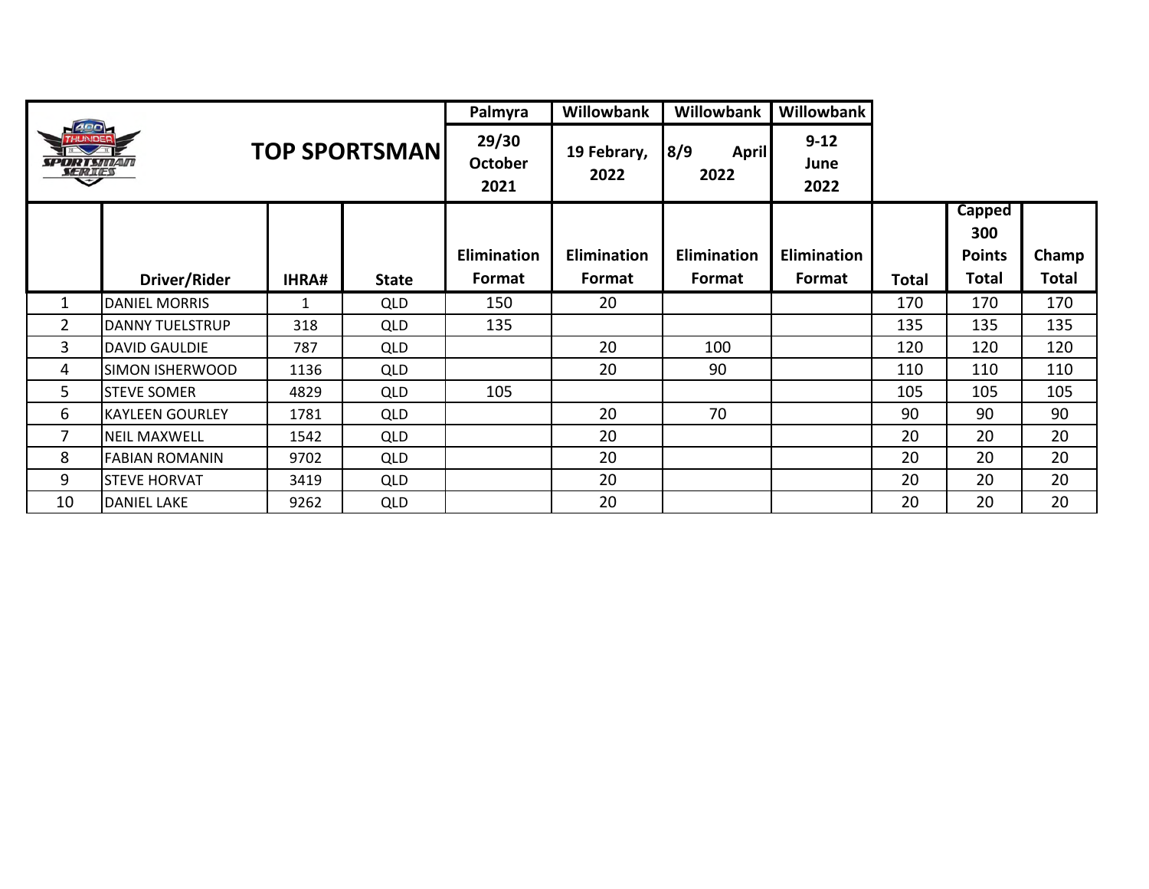|                                          |                        |              |                       | Palmyra                         | <b>Willowbank</b>   | Willowbank                  | Willowbank               |       |                                       |       |
|------------------------------------------|------------------------|--------------|-----------------------|---------------------------------|---------------------|-----------------------------|--------------------------|-------|---------------------------------------|-------|
| <b>ARD</b><br><b>SPORTSMAN</b><br>SERIES |                        |              | <b>TOP SPORTSMANI</b> | 29/30<br><b>October</b><br>2021 | 19 Febrary,<br>2022 | 8/9<br><b>April</b><br>2022 | $9 - 12$<br>June<br>2022 |       |                                       |       |
|                                          |                        |              |                       | Elimination                     | <b>Elimination</b>  | Elimination                 | Elimination              |       | <b>Capped</b><br>300<br><b>Points</b> | Champ |
|                                          | Driver/Rider           | <b>IHRA#</b> | <b>State</b>          | Format                          | Format              | Format                      | Format                   | Total | Total                                 | Total |
| 1                                        | <b>DANIEL MORRIS</b>   | 1            | QLD                   | 150                             | 20                  |                             |                          | 170   | 170                                   | 170   |
| $\overline{2}$                           | <b>DANNY TUELSTRUP</b> | 318          | QLD                   | 135                             |                     |                             |                          | 135   | 135                                   | 135   |
| 3                                        | <b>DAVID GAULDIE</b>   | 787          | QLD                   |                                 | 20                  | 100                         |                          | 120   | 120                                   | 120   |
| 4                                        | SIMON ISHERWOOD        | 1136         | QLD                   |                                 | 20                  | 90                          |                          | 110   | 110                                   | 110   |
| 5                                        | <b>STEVE SOMER</b>     | 4829         | QLD                   | 105                             |                     |                             |                          | 105   | 105                                   | 105   |
| 6                                        | <b>KAYLEEN GOURLEY</b> | 1781         | QLD                   |                                 | 20                  | 70                          |                          | 90    | 90                                    | 90    |
| 7                                        | <b>NEIL MAXWELL</b>    | 1542         | QLD                   |                                 | 20                  |                             |                          | 20    | 20                                    | 20    |
| 8                                        | <b>FABIAN ROMANIN</b>  | 9702         | QLD                   |                                 | 20                  |                             |                          | 20    | 20                                    | 20    |
| 9                                        | <b>STEVE HORVAT</b>    | 3419         | <b>QLD</b>            |                                 | 20                  |                             |                          | 20    | 20                                    | 20    |
| 10                                       | <b>DANIEL LAKE</b>     | 9262         | QLD                   |                                 | 20                  |                             |                          | 20    | 20                                    | 20    |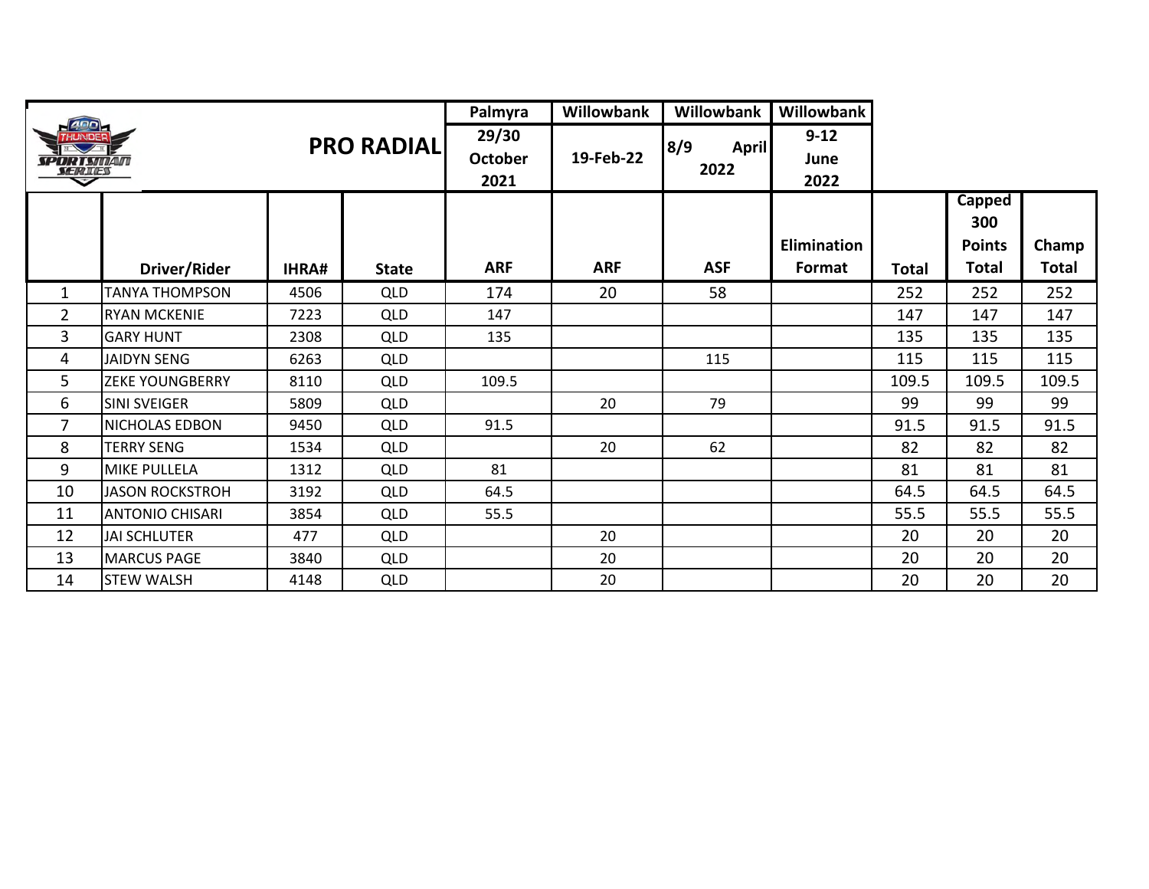|                                      |                        |              |                   | Palmyra                         | <b>Willowbank</b> | Willowbank                  | Willowbank               |              |                                       |              |
|--------------------------------------|------------------------|--------------|-------------------|---------------------------------|-------------------|-----------------------------|--------------------------|--------------|---------------------------------------|--------------|
| <i>SPORT SINAIN</i><br><b>SERTES</b> |                        |              | <b>PRO RADIAL</b> | 29/30<br><b>October</b><br>2021 | 19-Feb-22         | 8/9<br><b>April</b><br>2022 | $9 - 12$<br>June<br>2022 |              |                                       |              |
|                                      |                        |              |                   |                                 |                   |                             | <b>Elimination</b>       |              | <b>Capped</b><br>300<br><b>Points</b> | Champ        |
|                                      | Driver/Rider           | <b>IHRA#</b> | <b>State</b>      | <b>ARF</b>                      | <b>ARF</b>        | <b>ASF</b>                  | Format                   | <b>Total</b> | <b>Total</b>                          | <b>Total</b> |
| $\mathbf{1}$                         | <b>TANYA THOMPSON</b>  | 4506         | <b>QLD</b>        | 174                             | 20                | 58                          |                          | 252          | 252                                   | 252          |
| $\overline{2}$                       | <b>RYAN MCKENIE</b>    | 7223         | <b>QLD</b>        | 147                             |                   |                             |                          | 147          | 147                                   | 147          |
| 3                                    | <b>GARY HUNT</b>       | 2308         | <b>QLD</b>        | 135                             |                   |                             |                          | 135          | 135                                   | 135          |
| 4                                    | <b>JAIDYN SENG</b>     | 6263         | <b>QLD</b>        |                                 |                   | 115                         |                          | 115          | 115                                   | 115          |
| 5                                    | <b>ZEKE YOUNGBERRY</b> | 8110         | <b>QLD</b>        | 109.5                           |                   |                             |                          | 109.5        | 109.5                                 | 109.5        |
| 6                                    | <b>SINI SVEIGER</b>    | 5809         | <b>QLD</b>        |                                 | 20                | 79                          |                          | 99           | 99                                    | 99           |
| 7                                    | NICHOLAS EDBON         | 9450         | <b>QLD</b>        | 91.5                            |                   |                             |                          | 91.5         | 91.5                                  | 91.5         |
| 8                                    | <b>TERRY SENG</b>      | 1534         | <b>QLD</b>        |                                 | 20                | 62                          |                          | 82           | 82                                    | 82           |
| 9                                    | <b>MIKE PULLELA</b>    | 1312         | <b>QLD</b>        | 81                              |                   |                             |                          | 81           | 81                                    | 81           |
| 10                                   | <b>JASON ROCKSTROH</b> | 3192         | <b>QLD</b>        | 64.5                            |                   |                             |                          | 64.5         | 64.5                                  | 64.5         |
| 11                                   | <b>ANTONIO CHISARI</b> | 3854         | <b>QLD</b>        | 55.5                            |                   |                             |                          | 55.5         | 55.5                                  | 55.5         |
| 12                                   | <b>JAI SCHLUTER</b>    | 477          | <b>QLD</b>        |                                 | 20                |                             |                          | 20           | 20                                    | 20           |
| 13                                   | <b>MARCUS PAGE</b>     | 3840         | <b>QLD</b>        |                                 | 20                |                             |                          | 20           | 20                                    | 20           |
| 14                                   | <b>STEW WALSH</b>      | 4148         | <b>QLD</b>        |                                 | 20                |                             |                          | 20           | 20                                    | 20           |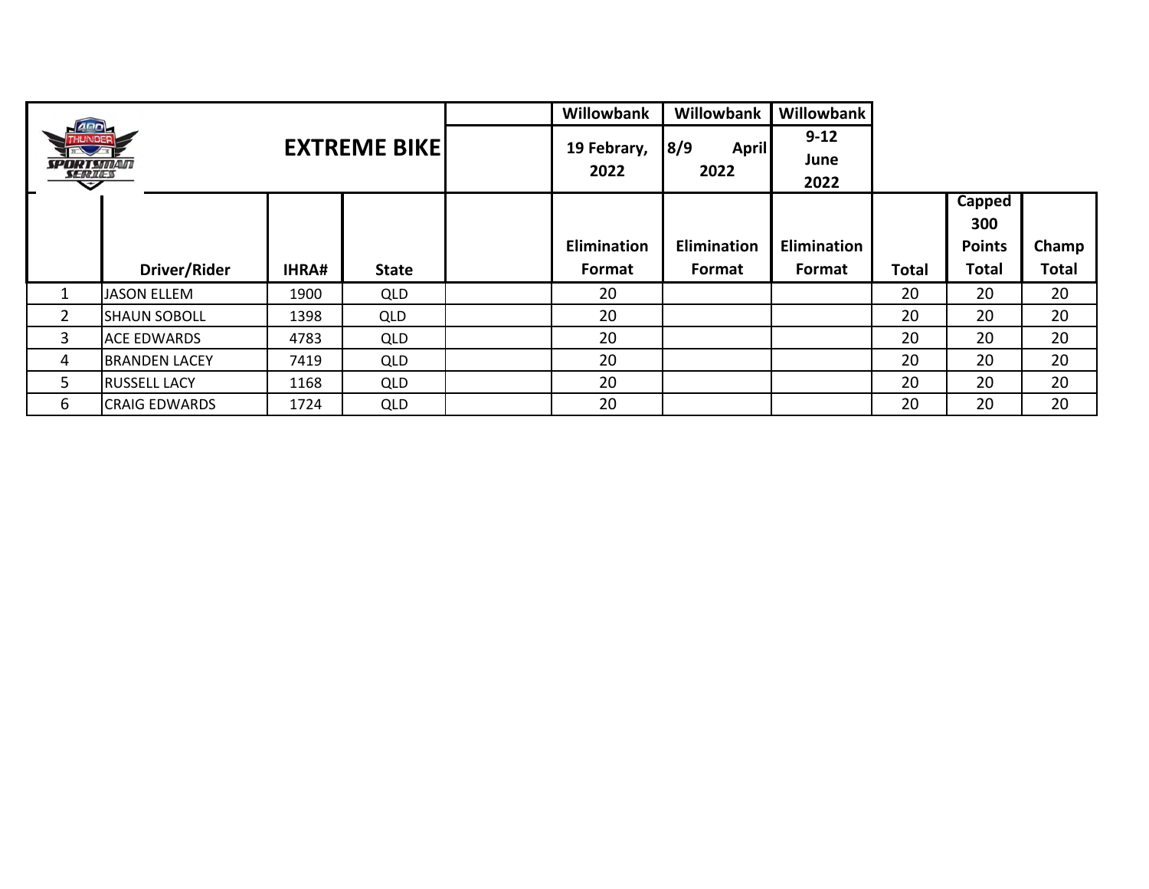|                   |                      |              |                      | <b>Willowbank</b> | Willowbank          | Willowbank  |              |               |              |
|-------------------|----------------------|--------------|----------------------|-------------------|---------------------|-------------|--------------|---------------|--------------|
| 400               |                      |              | <b>EXTREME BIKEL</b> | 19 Febrary,       | 8/9<br><b>April</b> | $9 - 12$    |              |               |              |
| <i>SPORT SMAN</i> |                      |              |                      |                   |                     | June        |              |               |              |
| <b>SERIES</b>     |                      |              |                      | 2022              | 2022                | 2022        |              |               |              |
|                   |                      |              |                      |                   |                     |             |              | Capped        |              |
|                   |                      |              |                      |                   |                     |             |              | 300           |              |
|                   |                      |              |                      | Elimination       | Elimination         | Elimination |              | <b>Points</b> | Champ        |
|                   | Driver/Rider         | <b>IHRA#</b> | <b>State</b>         | Format            | Format              | Format      | <b>Total</b> | <b>Total</b>  | <b>Total</b> |
| 1                 | <b>JASON ELLEM</b>   | 1900         | <b>QLD</b>           | 20                |                     |             | 20           | 20            | 20           |
| $\overline{2}$    | <b>SHAUN SOBOLL</b>  | 1398         | <b>QLD</b>           | 20                |                     |             | 20           | 20            | 20           |
| $\overline{3}$    | <b>ACE EDWARDS</b>   | 4783         | <b>QLD</b>           | 20                |                     |             | 20           | 20            | 20           |
| 4                 | <b>BRANDEN LACEY</b> | 7419         | <b>QLD</b>           | 20                |                     |             | 20           | 20            | 20           |
| 5                 | <b>RUSSELL LACY</b>  | 1168         | <b>QLD</b>           | 20                |                     |             | 20           | 20            | 20           |
|                   |                      |              |                      |                   |                     |             |              |               |              |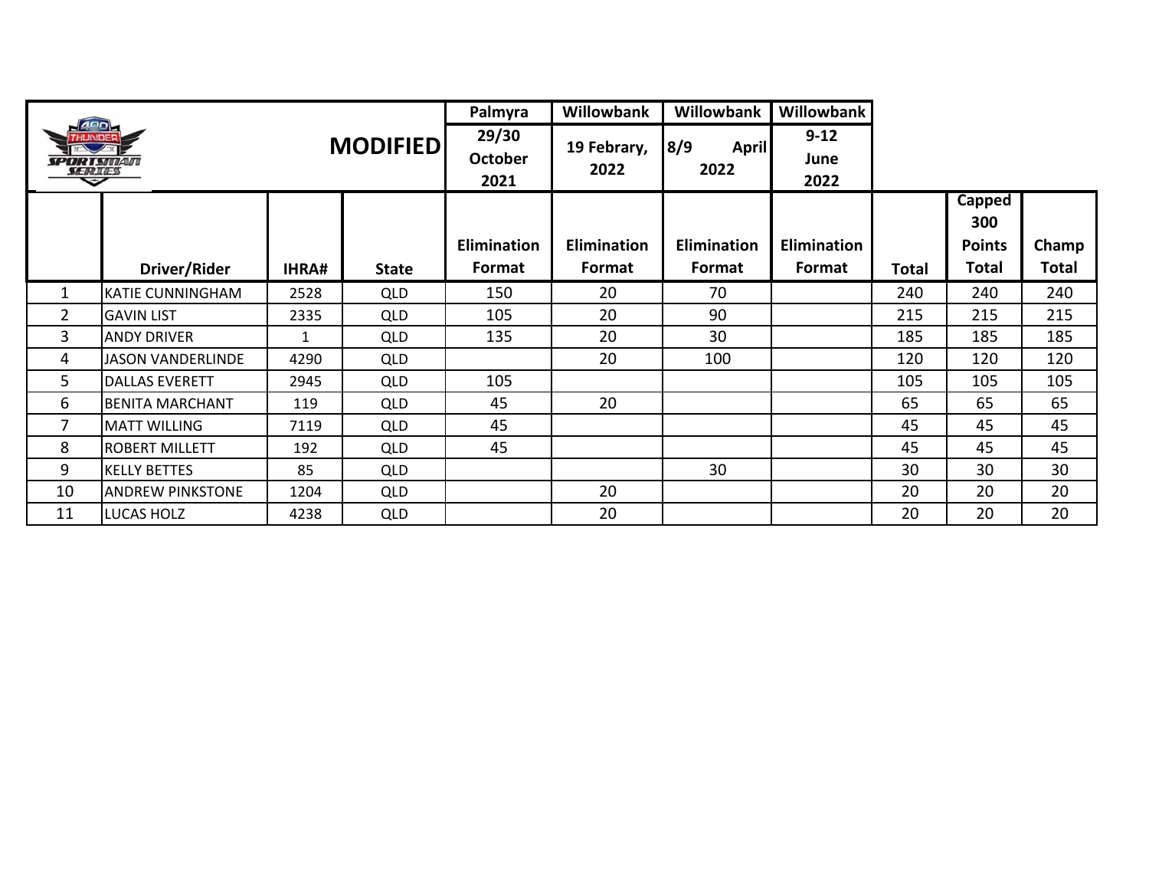|                                          |                          |       |                 | Palmyra                         | <b>Willowbank</b>            | <b>Willowbank</b>            | Willowbank                   |       |                                         |                       |
|------------------------------------------|--------------------------|-------|-----------------|---------------------------------|------------------------------|------------------------------|------------------------------|-------|-----------------------------------------|-----------------------|
| <i><b>SPORTSMAN</b></i><br><b>SERIES</b> |                          |       | <b>MODIFIED</b> | 29/30<br><b>October</b><br>2021 | 19 Febrary,<br>2022          | 8/9<br><b>April</b><br>2022  | $9 - 12$<br>June<br>2022     |       |                                         |                       |
|                                          | Driver/Rider             | IHRA# | <b>State</b>    | <b>Elimination</b><br>Format    | <b>Elimination</b><br>Format | <b>Elimination</b><br>Format | <b>Elimination</b><br>Format | Total | Capped<br>300<br><b>Points</b><br>Total | Champ<br><b>Total</b> |
| $\mathbf{1}$                             | KATIE CUNNINGHAM         | 2528  | <b>QLD</b>      | 150                             | 20                           | 70                           |                              | 240   | 240                                     | 240                   |
| $\overline{2}$                           | <b>GAVIN LIST</b>        | 2335  | <b>QLD</b>      | 105                             | 20                           | 90                           |                              | 215   | 215                                     | 215                   |
| $\mathbf{3}$                             | <b>ANDY DRIVER</b>       | 1     | <b>QLD</b>      | 135                             | 20                           | 30                           |                              | 185   | 185                                     | 185                   |
| 4                                        | <b>JASON VANDERLINDE</b> | 4290  | <b>QLD</b>      |                                 | 20                           | 100                          |                              | 120   | 120                                     | 120                   |
| 5                                        | <b>DALLAS EVERETT</b>    | 2945  | <b>QLD</b>      | 105                             |                              |                              |                              | 105   | 105                                     | 105                   |
| 6                                        | <b>BENITA MARCHANT</b>   | 119   | <b>QLD</b>      | 45                              | 20                           |                              |                              | 65    | 65                                      | 65                    |
| 7                                        | <b>MATT WILLING</b>      | 7119  | <b>QLD</b>      | 45                              |                              |                              |                              | 45    | 45                                      | 45                    |
| 8                                        | <b>ROBERT MILLETT</b>    | 192   | <b>QLD</b>      | 45                              |                              |                              |                              | 45    | 45                                      | 45                    |
| 9                                        | <b>KELLY BETTES</b>      | 85    | <b>QLD</b>      |                                 |                              | 30                           |                              | 30    | 30                                      | 30                    |
| 10                                       | <b>ANDREW PINKSTONE</b>  | 1204  | <b>QLD</b>      |                                 | 20                           |                              |                              | 20    | 20                                      | 20                    |
| 11                                       | <b>LUCAS HOLZ</b>        | 4238  | <b>QLD</b>      |                                 | 20                           |                              |                              | 20    | 20                                      | 20                    |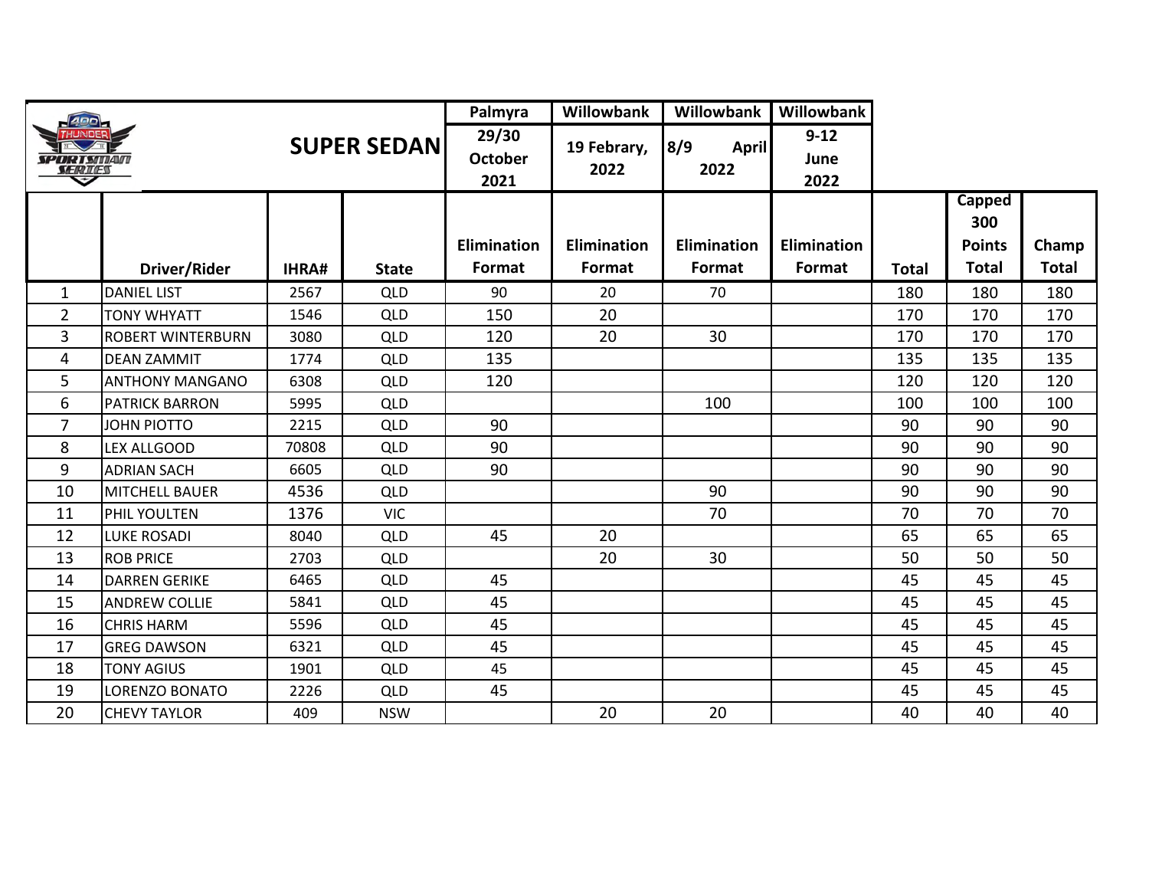| ann                             |                          |       |                     | Palmyra                         | Willowbank            | Willowbank                  | Willowbank                   |              |                                         |                       |
|---------------------------------|--------------------------|-------|---------------------|---------------------------------|-----------------------|-----------------------------|------------------------------|--------------|-----------------------------------------|-----------------------|
| <i>SPORTSMAN</i><br>SERIES<br>≂ |                          |       | <b>SUPER SEDANI</b> | 29/30<br><b>October</b><br>2021 | 19 Febrary,<br>2022   | 8/9<br><b>April</b><br>2022 | $9 - 12$<br>June<br>2022     |              |                                         |                       |
|                                 | Driver/Rider             | IHRA# | <b>State</b>        | <b>Elimination</b><br>Format    | Elimination<br>Format | Elimination<br>Format       | <b>Elimination</b><br>Format | <b>Total</b> | Capped<br>300<br><b>Points</b><br>Total | Champ<br><b>Total</b> |
| 1                               | <b>DANIEL LIST</b>       | 2567  | <b>QLD</b>          | 90                              | 20                    | 70                          |                              | 180          | 180                                     | 180                   |
| $\overline{2}$                  | <b>TONY WHYATT</b>       | 1546  | <b>QLD</b>          | 150                             | 20                    |                             |                              | 170          | 170                                     | 170                   |
| 3                               | <b>ROBERT WINTERBURN</b> | 3080  | <b>QLD</b>          | 120                             | 20                    | 30                          |                              | 170          | 170                                     | 170                   |
| 4                               | <b>DEAN ZAMMIT</b>       | 1774  | <b>QLD</b>          | 135                             |                       |                             |                              | 135          | 135                                     | 135                   |
| 5                               | <b>ANTHONY MANGANO</b>   | 6308  | <b>QLD</b>          | 120                             |                       |                             |                              | 120          | 120                                     | 120                   |
| 6                               | <b>PATRICK BARRON</b>    | 5995  | <b>QLD</b>          |                                 |                       | 100                         |                              | 100          | 100                                     | 100                   |
| $\overline{7}$                  | <b>JOHN PIOTTO</b>       | 2215  | QLD                 | 90                              |                       |                             |                              | 90           | 90                                      | 90                    |
| 8                               | <b>LEX ALLGOOD</b>       | 70808 | QLD                 | 90                              |                       |                             |                              | 90           | 90                                      | 90                    |
| 9                               | <b>ADRIAN SACH</b>       | 6605  | <b>QLD</b>          | 90                              |                       |                             |                              | 90           | 90                                      | 90                    |
| 10                              | <b>MITCHELL BAUER</b>    | 4536  | <b>QLD</b>          |                                 |                       | 90                          |                              | 90           | 90                                      | 90                    |
| 11                              | PHIL YOULTEN             | 1376  | <b>VIC</b>          |                                 |                       | 70                          |                              | 70           | 70                                      | 70                    |
| 12                              | <b>LUKE ROSADI</b>       | 8040  | <b>QLD</b>          | 45                              | 20                    |                             |                              | 65           | 65                                      | 65                    |
| 13                              | <b>ROB PRICE</b>         | 2703  | <b>QLD</b>          |                                 | 20                    | 30                          |                              | 50           | 50                                      | 50                    |
| 14                              | <b>DARREN GERIKE</b>     | 6465  | QLD                 | 45                              |                       |                             |                              | 45           | 45                                      | 45                    |
| 15                              | <b>ANDREW COLLIE</b>     | 5841  | <b>QLD</b>          | 45                              |                       |                             |                              | 45           | 45                                      | 45                    |
| 16                              | <b>CHRIS HARM</b>        | 5596  | QLD                 | 45                              |                       |                             |                              | 45           | 45                                      | 45                    |
| 17                              | <b>GREG DAWSON</b>       | 6321  | <b>QLD</b>          | 45                              |                       |                             |                              | 45           | 45                                      | 45                    |
| 18                              | <b>TONY AGIUS</b>        | 1901  | <b>QLD</b>          | 45                              |                       |                             |                              | 45           | 45                                      | 45                    |
| 19                              | LORENZO BONATO           | 2226  | <b>QLD</b>          | 45                              |                       |                             |                              | 45           | 45                                      | 45                    |
| 20                              | <b>CHEVY TAYLOR</b>      | 409   | <b>NSW</b>          |                                 | 20                    | 20                          |                              | 40           | 40                                      | 40                    |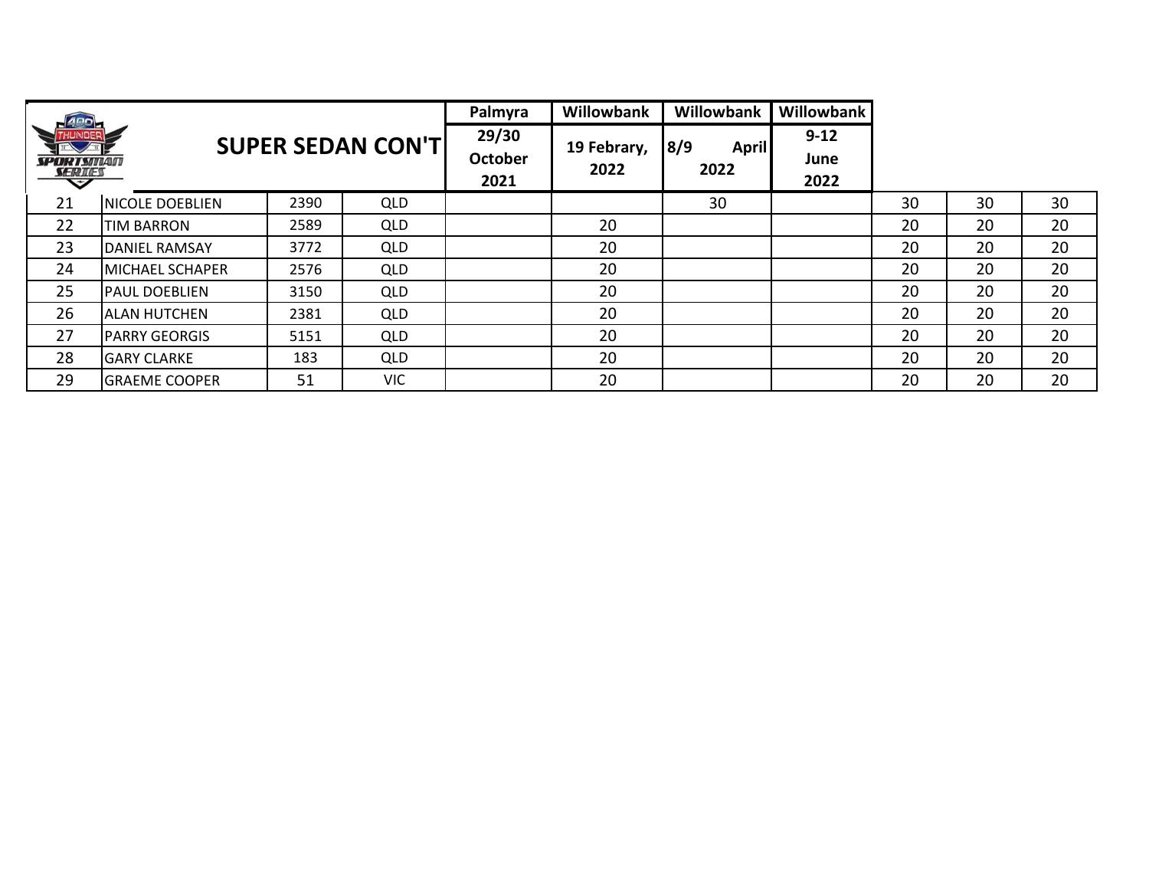|                                 |                        |      |                           | Palmyra                         | Willowbank          | Willowbank                  | Willowbank               |    |    |    |
|---------------------------------|------------------------|------|---------------------------|---------------------------------|---------------------|-----------------------------|--------------------------|----|----|----|
| SPORTSMAN<br><b>SERIES</b><br>∽ |                        |      | <b>SUPER SEDAN CON'T </b> | 29/30<br><b>October</b><br>2021 | 19 Febrary,<br>2022 | 8/9<br><b>April</b><br>2022 | $9 - 12$<br>June<br>2022 |    |    |    |
| 21                              | <b>NICOLE DOEBLIEN</b> | 2390 | <b>QLD</b>                |                                 |                     | 30                          |                          | 30 | 30 | 30 |
| 22                              | <b>TIM BARRON</b>      | 2589 | <b>QLD</b>                |                                 | 20                  |                             |                          | 20 | 20 | 20 |
| 23                              | <b>DANIEL RAMSAY</b>   | 3772 | <b>QLD</b>                |                                 | 20                  |                             |                          | 20 | 20 | 20 |
| 24                              | <b>MICHAEL SCHAPER</b> | 2576 | <b>QLD</b>                |                                 | 20                  |                             |                          | 20 | 20 | 20 |
| 25                              | <b>PAUL DOEBLIEN</b>   | 3150 | <b>QLD</b>                |                                 | 20                  |                             |                          | 20 | 20 | 20 |
| 26                              | <b>ALAN HUTCHEN</b>    | 2381 | QLD                       |                                 | 20                  |                             |                          | 20 | 20 | 20 |
| 27                              | <b>PARRY GEORGIS</b>   | 5151 | <b>QLD</b>                |                                 | 20                  |                             |                          | 20 | 20 | 20 |
| 28                              | <b>GARY CLARKE</b>     | 183  | <b>QLD</b>                |                                 | 20                  |                             |                          | 20 | 20 | 20 |
| 29                              | <b>GRAEME COOPER</b>   | 51   | <b>VIC</b>                |                                 | 20                  |                             |                          | 20 | 20 | 20 |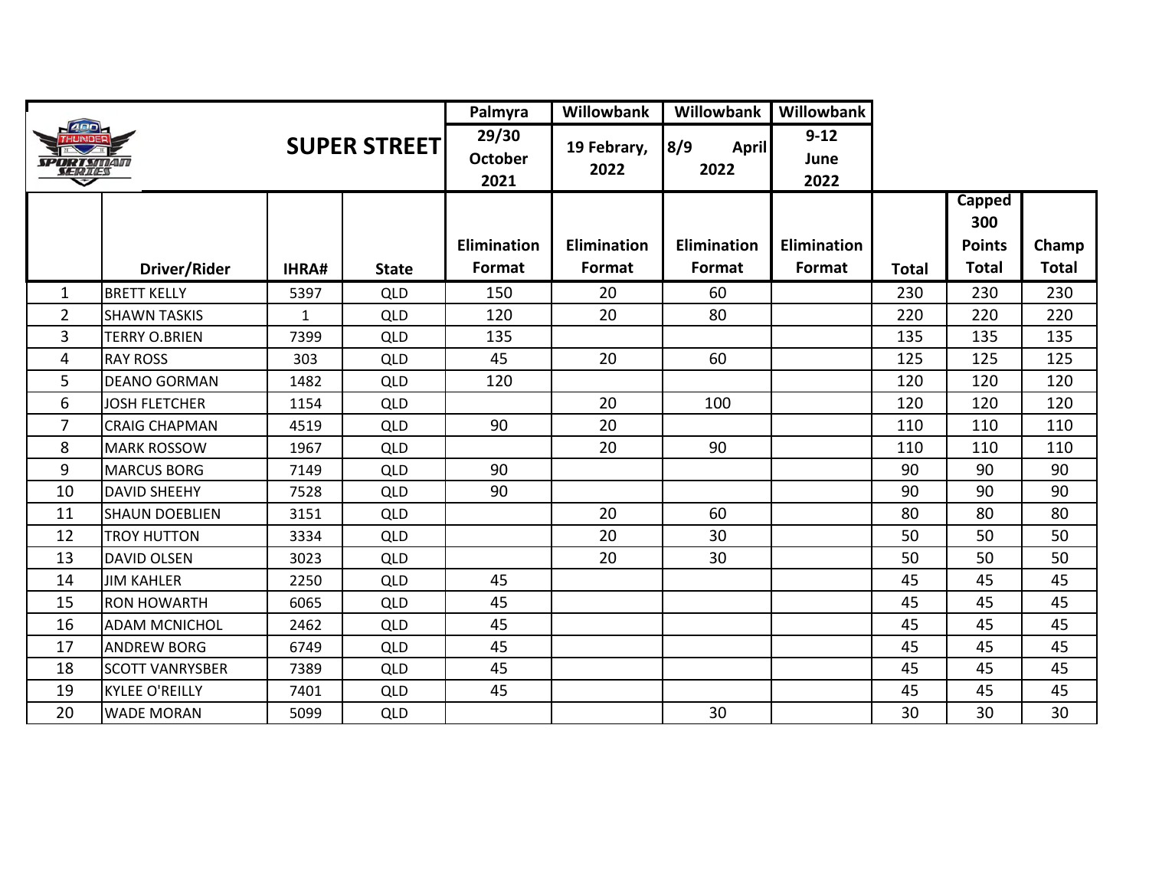|                                               |                        |              |                     | Palmyra                         | Willowbank          | Willowbank                  | Willowbank               |              |                                |              |
|-----------------------------------------------|------------------------|--------------|---------------------|---------------------------------|---------------------|-----------------------------|--------------------------|--------------|--------------------------------|--------------|
| <b>ADD</b><br>SPORTSMAM<br><b>SERIES</b><br>U |                        |              | <b>SUPER STREET</b> | 29/30<br><b>October</b><br>2021 | 19 Febrary,<br>2022 | 8/9<br><b>April</b><br>2022 | $9 - 12$<br>June<br>2022 |              |                                |              |
|                                               |                        |              |                     | <b>Elimination</b>              | Elimination         | <b>Elimination</b>          | <b>Elimination</b>       |              | Capped<br>300<br><b>Points</b> | Champ        |
|                                               | Driver/Rider           | IHRA#        | <b>State</b>        | Format                          | Format              | Format                      | Format                   | <b>Total</b> | <b>Total</b>                   | <b>Total</b> |
| 1                                             | <b>BRETT KELLY</b>     | 5397         | <b>QLD</b>          | 150                             | 20                  | 60                          |                          | 230          | 230                            | 230          |
| $\overline{2}$                                | <b>SHAWN TASKIS</b>    | $\mathbf{1}$ | <b>QLD</b>          | 120                             | 20                  | 80                          |                          | 220          | 220                            | 220          |
| 3                                             | <b>TERRY O.BRIEN</b>   | 7399         | QLD                 | 135                             |                     |                             |                          | 135          | 135                            | 135          |
| 4                                             | <b>RAY ROSS</b>        | 303          | <b>QLD</b>          | 45                              | 20                  | 60                          |                          | 125          | 125                            | 125          |
| 5                                             | <b>DEANO GORMAN</b>    | 1482         | QLD                 | 120                             |                     |                             |                          | 120          | 120                            | 120          |
| 6                                             | <b>JOSH FLETCHER</b>   | 1154         | <b>QLD</b>          |                                 | 20                  | 100                         |                          | 120          | 120                            | 120          |
| 7                                             | <b>CRAIG CHAPMAN</b>   | 4519         | <b>QLD</b>          | 90                              | 20                  |                             |                          | 110          | 110                            | 110          |
| 8                                             | <b>MARK ROSSOW</b>     | 1967         | QLD                 |                                 | 20                  | 90                          |                          | 110          | 110                            | 110          |
| 9                                             | <b>MARCUS BORG</b>     | 7149         | <b>QLD</b>          | 90                              |                     |                             |                          | 90           | 90                             | 90           |
| 10                                            | <b>DAVID SHEEHY</b>    | 7528         | QLD                 | 90                              |                     |                             |                          | 90           | 90                             | 90           |
| 11                                            | <b>SHAUN DOEBLIEN</b>  | 3151         | QLD                 |                                 | 20                  | 60                          |                          | 80           | 80                             | 80           |
| 12                                            | <b>TROY HUTTON</b>     | 3334         | <b>QLD</b>          |                                 | 20                  | 30                          |                          | 50           | 50                             | 50           |
| 13                                            | <b>DAVID OLSEN</b>     | 3023         | <b>QLD</b>          |                                 | 20                  | 30                          |                          | 50           | 50                             | 50           |
| 14                                            | <b>JIM KAHLER</b>      | 2250         | <b>QLD</b>          | 45                              |                     |                             |                          | 45           | 45                             | 45           |
| 15                                            | <b>RON HOWARTH</b>     | 6065         | <b>QLD</b>          | 45                              |                     |                             |                          | 45           | 45                             | 45           |
| 16                                            | <b>ADAM MCNICHOL</b>   | 2462         | QLD                 | 45                              |                     |                             |                          | 45           | 45                             | 45           |
| 17                                            | <b>ANDREW BORG</b>     | 6749         | <b>QLD</b>          | 45                              |                     |                             |                          | 45           | 45                             | 45           |
| 18                                            | <b>SCOTT VANRYSBER</b> | 7389         | <b>QLD</b>          | 45                              |                     |                             |                          | 45           | 45                             | 45           |
| 19                                            | <b>KYLEE O'REILLY</b>  | 7401         | QLD                 | 45                              |                     |                             |                          | 45           | 45                             | 45           |
| 20                                            | <b>WADE MORAN</b>      | 5099         | <b>QLD</b>          |                                 |                     | 30                          |                          | 30           | 30                             | 30           |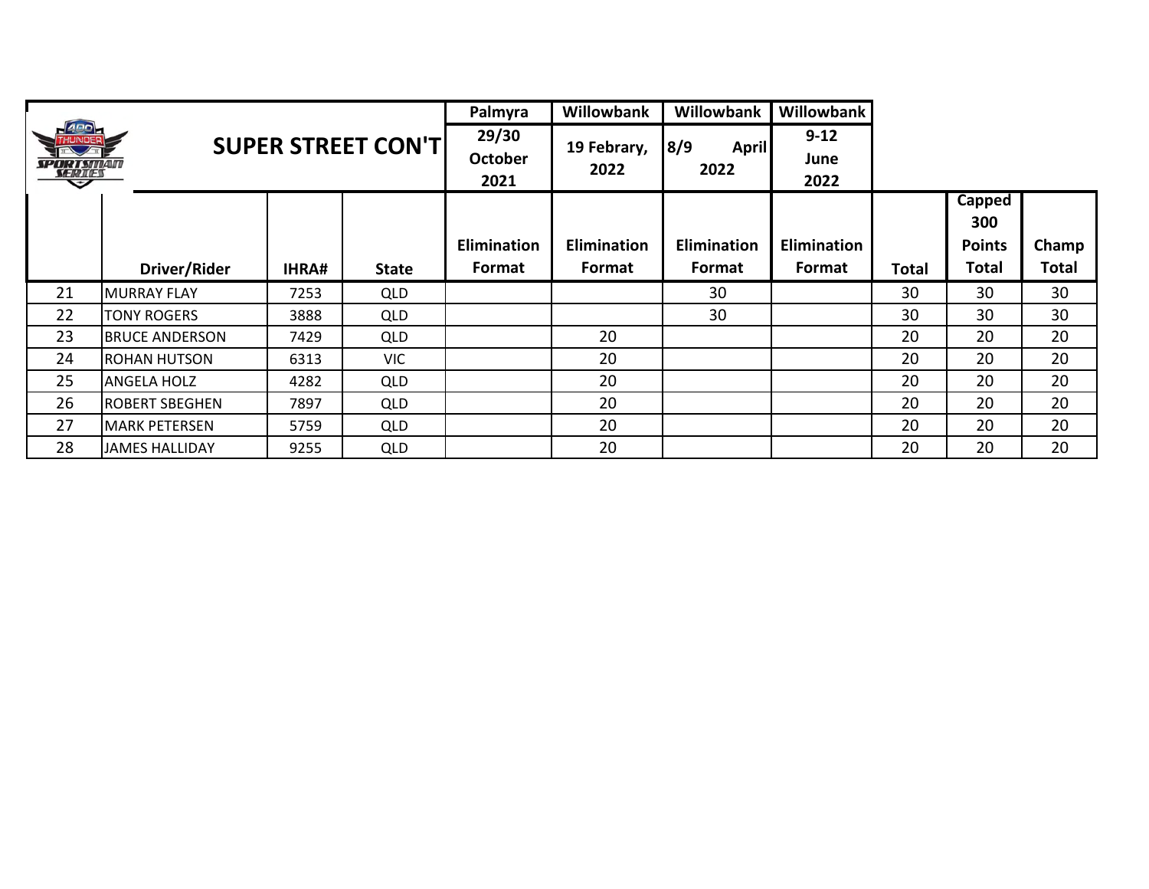|                                   |                       |              |                            | Palmyra                         | <b>Willowbank</b>   | Willowbank                  | Willowbank               |       |               |              |
|-----------------------------------|-----------------------|--------------|----------------------------|---------------------------------|---------------------|-----------------------------|--------------------------|-------|---------------|--------------|
| <b>SPORTSMAN</b><br><i>SERIES</i> |                       |              | <b>SUPER STREET CON'TI</b> | 29/30<br><b>October</b><br>2021 | 19 Febrary,<br>2022 | 8/9<br><b>April</b><br>2022 | $9 - 12$<br>June<br>2022 |       |               |              |
|                                   |                       |              |                            |                                 |                     |                             |                          |       | Capped<br>300 |              |
|                                   |                       |              |                            | <b>Elimination</b>              | <b>Elimination</b>  | <b>Elimination</b>          | <b>Elimination</b>       |       | <b>Points</b> | Champ        |
|                                   | Driver/Rider          | <b>IHRA#</b> | <b>State</b>               | <b>Format</b>                   | Format              | <b>Format</b>               | Format                   | Total | Total         | <b>Total</b> |
| 21                                | <b>MURRAY FLAY</b>    | 7253         | <b>QLD</b>                 |                                 |                     | 30                          |                          | 30    | 30            | 30           |
| 22                                | TONY ROGERS           | 3888         | <b>QLD</b>                 |                                 |                     | 30                          |                          | 30    | 30            | 30           |
| 23                                | <b>BRUCE ANDERSON</b> | 7429         | <b>QLD</b>                 |                                 | 20                  |                             |                          | 20    | 20            | 20           |
| 24                                | <b>ROHAN HUTSON</b>   | 6313         | <b>VIC</b>                 |                                 | 20                  |                             |                          | 20    | 20            | 20           |
| 25                                | <b>ANGELA HOLZ</b>    | 4282         | <b>QLD</b>                 |                                 | 20                  |                             |                          | 20    | 20            | 20           |
| 26                                | <b>ROBERT SBEGHEN</b> | 7897         | QLD                        |                                 | 20                  |                             |                          | 20    | 20            | 20           |
| 27                                | <b>MARK PETERSEN</b>  | 5759         | <b>QLD</b>                 |                                 | 20                  |                             |                          | 20    | 20            | 20           |
| 28                                | <b>JAMES HALLIDAY</b> | 9255         | <b>QLD</b>                 |                                 | 20                  |                             |                          | 20    | 20            | 20           |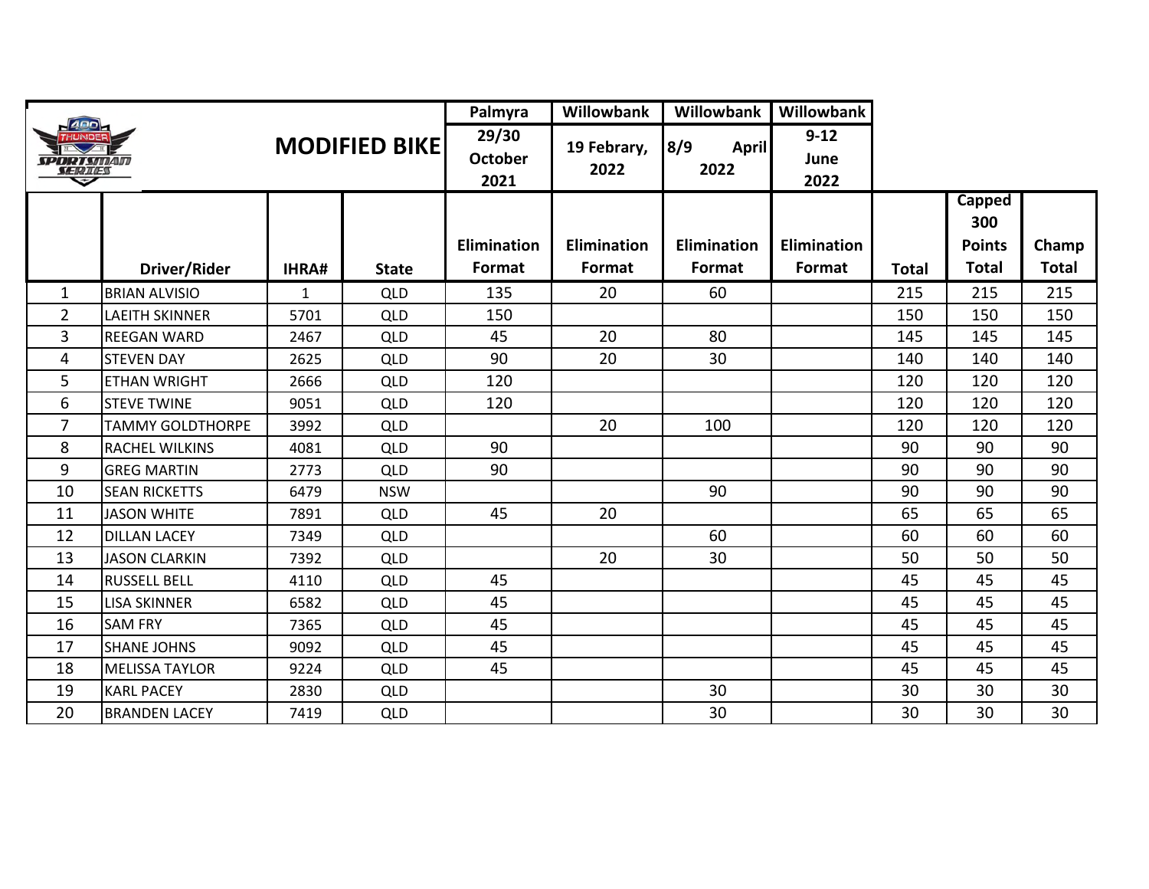|                                |                         |              |                      | Palmyra                         | Willowbank          | Willowbank           | Willowbank               |       |                                |              |
|--------------------------------|-------------------------|--------------|----------------------|---------------------------------|---------------------|----------------------|--------------------------|-------|--------------------------------|--------------|
| <i>SPORT SITIAIT</i><br>SERIES |                         |              | <b>MODIFIED BIKE</b> | 29/30<br><b>October</b><br>2021 | 19 Febrary,<br>2022 | 8/9<br>April<br>2022 | $9 - 12$<br>June<br>2022 |       |                                |              |
|                                |                         |              |                      | <b>Elimination</b>              | <b>Elimination</b>  | Elimination          | <b>Elimination</b>       |       | Capped<br>300<br><b>Points</b> | Champ        |
|                                | Driver/Rider            | <b>IHRA#</b> | <b>State</b>         | Format                          | Format              | Format               | Format                   | Total | <b>Total</b>                   | <b>Total</b> |
| 1                              | <b>BRIAN ALVISIO</b>    | 1            | QLD                  | 135                             | 20                  | 60                   |                          | 215   | 215                            | 215          |
| $\overline{2}$                 | <b>LAEITH SKINNER</b>   | 5701         | QLD                  | 150                             |                     |                      |                          | 150   | 150                            | 150          |
| $\overline{3}$                 | <b>REEGAN WARD</b>      | 2467         | QLD                  | 45                              | 20                  | 80                   |                          | 145   | 145                            | 145          |
| 4                              | <b>STEVEN DAY</b>       | 2625         | <b>QLD</b>           | 90                              | 20                  | 30                   |                          | 140   | 140                            | 140          |
| 5                              | <b>ETHAN WRIGHT</b>     | 2666         | <b>QLD</b>           | 120                             |                     |                      |                          | 120   | 120                            | 120          |
| 6                              | <b>STEVE TWINE</b>      | 9051         | <b>QLD</b>           | 120                             |                     |                      |                          | 120   | 120                            | 120          |
| $\overline{7}$                 | <b>TAMMY GOLDTHORPE</b> | 3992         | <b>QLD</b>           |                                 | 20                  | 100                  |                          | 120   | 120                            | 120          |
| 8                              | <b>RACHEL WILKINS</b>   | 4081         | QLD                  | 90                              |                     |                      |                          | 90    | 90                             | 90           |
| 9                              | <b>GREG MARTIN</b>      | 2773         | <b>QLD</b>           | 90                              |                     |                      |                          | 90    | 90                             | 90           |
| 10                             | <b>SEAN RICKETTS</b>    | 6479         | <b>NSW</b>           |                                 |                     | 90                   |                          | 90    | 90                             | 90           |
| 11                             | <b>JASON WHITE</b>      | 7891         | QLD                  | 45                              | 20                  |                      |                          | 65    | 65                             | 65           |
| 12                             | <b>DILLAN LACEY</b>     | 7349         | <b>QLD</b>           |                                 |                     | 60                   |                          | 60    | 60                             | 60           |
| 13                             | <b>JASON CLARKIN</b>    | 7392         | QLD                  |                                 | 20                  | 30                   |                          | 50    | 50                             | 50           |
| 14                             | <b>RUSSELL BELL</b>     | 4110         | QLD                  | 45                              |                     |                      |                          | 45    | 45                             | 45           |
| 15                             | <b>LISA SKINNER</b>     | 6582         | <b>QLD</b>           | 45                              |                     |                      |                          | 45    | 45                             | 45           |
| 16                             | <b>SAM FRY</b>          | 7365         | <b>QLD</b>           | 45                              |                     |                      |                          | 45    | 45                             | 45           |
| 17                             | <b>SHANE JOHNS</b>      | 9092         | QLD                  | 45                              |                     |                      |                          | 45    | 45                             | 45           |
| 18                             | <b>MELISSA TAYLOR</b>   | 9224         | <b>QLD</b>           | 45                              |                     |                      |                          | 45    | 45                             | 45           |
| 19                             | <b>KARL PACEY</b>       | 2830         | QLD                  |                                 |                     | 30                   |                          | 30    | 30                             | 30           |
| 20                             | <b>BRANDEN LACEY</b>    | 7419         | <b>QLD</b>           |                                 |                     | 30                   |                          | 30    | 30                             | 30           |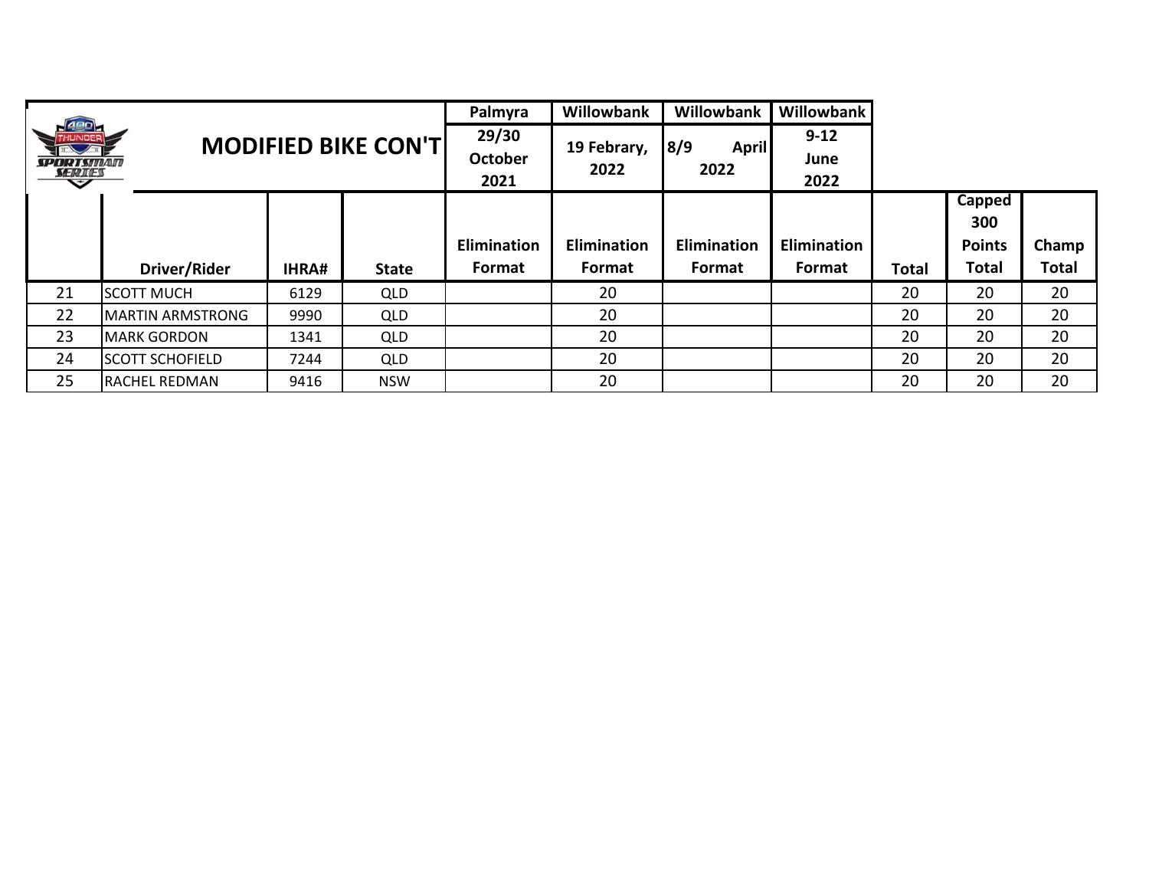|                  |                         |              | Palmyra                     | <b>Willowbank</b> | <b>Willowbank</b> | <b>Willowbank</b> |                    |              |               |              |
|------------------|-------------------------|--------------|-----------------------------|-------------------|-------------------|-------------------|--------------------|--------------|---------------|--------------|
|                  |                         |              | <b>MODIFIED BIKE CON'TI</b> | 29/30             | 19 Febrary,       | 8/9<br>April      | $9 - 12$           |              |               |              |
| <b>SPORTSMAN</b> |                         |              |                             | <b>October</b>    | 2022              | 2022              | June               |              |               |              |
| <b>SERIES</b>    |                         |              |                             | 2021              |                   |                   | 2022               |              |               |              |
|                  |                         |              |                             |                   |                   |                   |                    |              | Capped        |              |
|                  |                         |              |                             |                   |                   |                   |                    |              | 300           |              |
|                  |                         |              |                             | Elimination       | Elimination       | Elimination       | <b>Elimination</b> |              | <b>Points</b> | Champ        |
|                  | Driver/Rider            | <b>IHRA#</b> | <b>State</b>                | Format            | Format            | Format            | Format             | <b>Total</b> | <b>Total</b>  | <b>Total</b> |
| 21               | <b>SCOTT MUCH</b>       | 6129         | <b>QLD</b>                  |                   | 20                |                   |                    | 20           | 20            | 20           |
| 22               | <b>MARTIN ARMSTRONG</b> | 9990         | <b>QLD</b>                  |                   | 20                |                   |                    | 20           | 20            | 20           |
| 23               | <b>MARK GORDON</b>      | 1341         | <b>QLD</b>                  |                   | 20                |                   |                    | 20           | 20            | 20           |
| 24               | <b>SCOTT SCHOFIELD</b>  | 7244         | <b>QLD</b>                  |                   | 20                |                   |                    | 20           | 20            | 20           |
| 25               | RACHEL REDMAN           | 9416         | <b>NSW</b>                  |                   | 20                |                   |                    | 20           | 20            | 20           |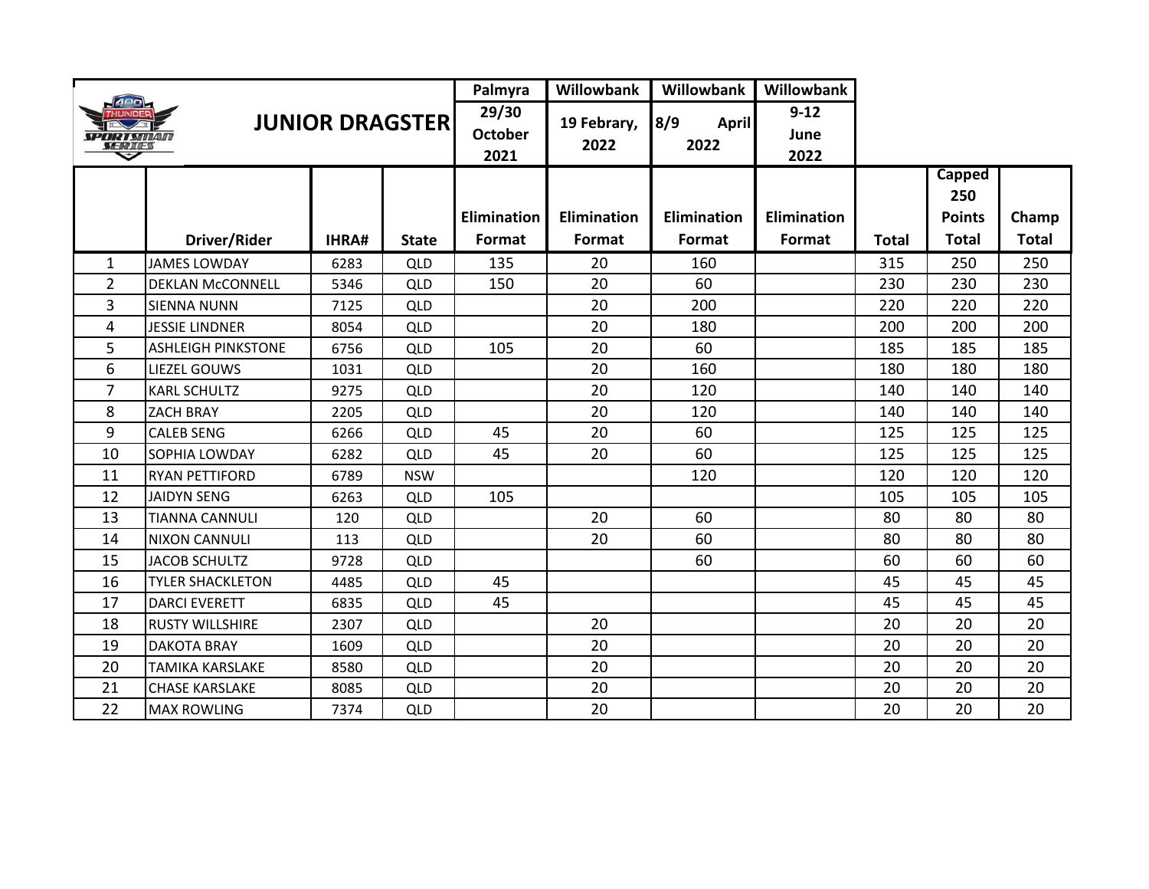| ARD<br><b>JUNIOR DRAGSTER</b><br>SPORT SMAM<br>SERIES |                           |              | Palmyra                         | Willowbank          | Willowbank                  | Willowbank               |                    |       |                      |              |
|-------------------------------------------------------|---------------------------|--------------|---------------------------------|---------------------|-----------------------------|--------------------------|--------------------|-------|----------------------|--------------|
|                                                       |                           |              | 29/30<br><b>October</b><br>2021 | 19 Febrary,<br>2022 | 8/9<br><b>April</b><br>2022 | $9 - 12$<br>June<br>2022 |                    |       |                      |              |
|                                                       |                           |              |                                 |                     |                             |                          |                    |       | <b>Capped</b><br>250 |              |
|                                                       |                           |              |                                 | Elimination         | <b>Elimination</b>          | <b>Elimination</b>       | <b>Elimination</b> |       | <b>Points</b>        | Champ        |
|                                                       | Driver/Rider              | <b>IHRA#</b> | <b>State</b>                    | Format              | Format                      | Format                   | Format             | Total | <b>Total</b>         | <b>Total</b> |
| $\mathbf{1}$                                          | <b>JAMES LOWDAY</b>       | 6283         | <b>QLD</b>                      | 135                 | 20                          | 160                      |                    | 315   | 250                  | 250          |
| $\overline{2}$                                        | <b>DEKLAN McCONNELL</b>   | 5346         | <b>QLD</b>                      | 150                 | 20                          | 60                       |                    | 230   | 230                  | 230          |
| 3                                                     | <b>SIENNA NUNN</b>        | 7125         | <b>QLD</b>                      |                     | 20                          | 200                      |                    | 220   | 220                  | 220          |
| 4                                                     | <b>JESSIE LINDNER</b>     | 8054         | <b>QLD</b>                      |                     | 20                          | 180                      |                    | 200   | 200                  | 200          |
| 5                                                     | <b>ASHLEIGH PINKSTONE</b> | 6756         | <b>QLD</b>                      | 105                 | 20                          | 60                       |                    | 185   | 185                  | 185          |
| 6                                                     | <b>LIEZEL GOUWS</b>       | 1031         | <b>QLD</b>                      |                     | 20                          | 160                      |                    | 180   | 180                  | 180          |
| 7                                                     | <b>KARL SCHULTZ</b>       | 9275         | <b>QLD</b>                      |                     | 20                          | 120                      |                    | 140   | 140                  | 140          |
| 8                                                     | <b>ZACH BRAY</b>          | 2205         | <b>QLD</b>                      |                     | 20                          | 120                      |                    | 140   | 140                  | 140          |
| 9                                                     | <b>CALEB SENG</b>         | 6266         | <b>QLD</b>                      | 45                  | 20                          | 60                       |                    | 125   | 125                  | 125          |
| 10                                                    | SOPHIA LOWDAY             | 6282         | <b>QLD</b>                      | 45                  | 20                          | 60                       |                    | 125   | 125                  | 125          |
| 11                                                    | <b>RYAN PETTIFORD</b>     | 6789         | <b>NSW</b>                      |                     |                             | 120                      |                    | 120   | 120                  | 120          |
| 12                                                    | <b>JAIDYN SENG</b>        | 6263         | <b>QLD</b>                      | 105                 |                             |                          |                    | 105   | 105                  | 105          |
| 13                                                    | <b>TIANNA CANNULI</b>     | 120          | QLD                             |                     | 20                          | 60                       |                    | 80    | 80                   | 80           |
| 14                                                    | <b>NIXON CANNULI</b>      | 113          | <b>QLD</b>                      |                     | 20                          | 60                       |                    | 80    | 80                   | 80           |
| 15                                                    | <b>JACOB SCHULTZ</b>      | 9728         | QLD                             |                     |                             | 60                       |                    | 60    | 60                   | 60           |
| 16                                                    | <b>TYLER SHACKLETON</b>   | 4485         | <b>QLD</b>                      | 45                  |                             |                          |                    | 45    | 45                   | 45           |
| 17                                                    | <b>DARCI EVERETT</b>      | 6835         | QLD                             | 45                  |                             |                          |                    | 45    | 45                   | 45           |
| 18                                                    | <b>RUSTY WILLSHIRE</b>    | 2307         | <b>QLD</b>                      |                     | 20                          |                          |                    | 20    | 20                   | 20           |
| 19                                                    | <b>DAKOTA BRAY</b>        | 1609         | <b>QLD</b>                      |                     | 20                          |                          |                    | 20    | 20                   | 20           |
| 20                                                    | <b>TAMIKA KARSLAKE</b>    | 8580         | <b>QLD</b>                      |                     | 20                          |                          |                    | 20    | 20                   | 20           |
| 21                                                    | <b>CHASE KARSLAKE</b>     | 8085         | <b>QLD</b>                      |                     | 20                          |                          |                    | 20    | 20                   | 20           |
| 22                                                    | <b>MAX ROWLING</b>        | 7374         | <b>QLD</b>                      |                     | 20                          |                          |                    | 20    | 20                   | 20           |